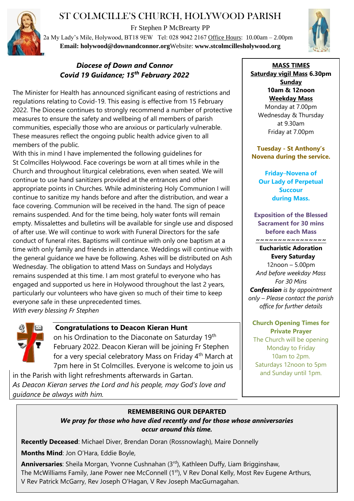# ST COLMCILLE'S CHURCH, HOLYWOOD PARISH

Fr Stephen P McBrearty PP

2a My Lady's Mile, Holywood, BT18 9EW Tel: 028 9042 2167 Office Hours: 10.00am – 2.00pm **Email: [holywood@downandconnor.org](mailto:holywood@downandconnor.org)**Website: **www.stcolmcillesholywood.org**



## *Diocese of Down and Connor Covid 19 Guidance; 15th February 2022*

The Minister for Health has announced significant easing of restrictions and regulations relating to Covid-19. This easing is effective from 15 February 2022. The Diocese continues to strongly recommend a number of protective measures to ensure the safety and wellbeing of all members of parish communities, especially those who are anxious or particularly vulnerable. These measures reflect the ongoing public health advice given to all members of the public.

With this in mind I have implemented the following guidelines for St Colmcilles Holywood. Face coverings be worn at all times while in the Church and throughout liturgical celebrations, even when seated. We will continue to use hand sanitizers provided at the entrances and other appropriate points in Churches. While administering Holy Communion I will continue to sanitize my hands before and after the distribution, and wear a face covering. Communion will be received in the hand. The sign of peace remains suspended. And for the time being, holy water fonts will remain empty. Missalettes and bulletins will be available for single use and disposed of after use. We will continue to work with Funeral Directors for the safe conduct of funeral rites. Baptisms will continue with only one baptism at a time with only family and friends in attendance. Weddings will continue with the general guidance we have be following. Ashes will be distributed on Ash Wednesday. The obligation to attend Mass on Sundays and Holydays remains suspended at this time. I am most grateful to everyone who has engaged and supported us here in Holywood throughout the last 2 years, particularly our volunteers who have given so much of their time to keep everyone safe in these unprecedented times. *With every blessing Fr Stephen*



## **Congratulations to Deacon Kieran Hunt**

on his Ordination to the Diaconate on Saturday 19<sup>th</sup> February 2022. Deacon Kieran will be joining Fr Stephen for a very special celebratory Mass on Friday 4<sup>th</sup> March at 7pm here in St Colmcilles. Everyone is welcome to join us

in the Parish with light refreshments afterwards in Gartan. *As Deacon Kieran serves the Lord and his people, may God's love and guidance be always with him.*

**MASS TIMES Saturday vigil Mass 6.30pm Sunday 10am & 12noon Weekday Mass** Monday at 7.00pm Wednesday & Thursday at 9.30am Friday at 7.00pm

**Tuesday - St Anthony's Novena during the service.**

**Friday**–**Novena of Our Lady of Perpetual Succour during Mass.**

**Exposition of the Blessed Sacrament for 30 mins before each Mass**

#### **~~~~~~~~~~~~~~~~ Eucharistic Adoration**

# **Every Saturday**

12noon – 5.00pm *And before weekday Mass For 30 Mins Confession is by appointment only – Please contact the parish office for further details*

**Church Opening Times for Private Prayer** The Church will be opening Monday to Friday 10am to 2pm. Saturdays 12noon to 5pm and Sunday until 1pm.

### **REMEMBERING OUR DEPARTED**

*We pray for those who have died recently and for those whose anniversaries occur around this time.*

**Recently Deceased**: Michael Diver, Brendan Doran (Rossnowlagh), Maire Donnelly

**Months Mind**: Jon O'Hara, Eddie Boyle,

**Anniversaries**: Sheila Morgan, Yvonne Cushnahan (3rd), Kathleen Duffy, Liam Brigginshaw, The McWilliams Family, Jane Power nee McConnell (1<sup>st</sup>), V Rev Donal Kelly, Most Rev Eugene Arthurs, V Rev Patrick McGarry, Rev Joseph O'Hagan, V Rev Joseph MacGurnagahan.

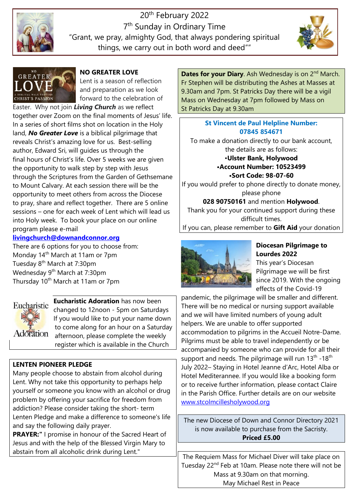

20th February 2022 7<sup>th</sup> Sunday in Ordinary Time "Grant, we pray, almighty God, that always pondering spiritual things, we carry out in both word and deed""





**NO GREATER LOVE**

Lent is a season of reflection and preparation as we look forward to the celebration of

Easter. Why not join *Living Church* as we reflect together over Zoom on the final moments of Jesus' life. In a series of short films shot on location in the Holy land, *No Greater Love* is a biblical pilgrimage that reveals Christ's amazing love for us. Best-selling author, Edward Sri, will guides us through the final hours of Christ's life. Over 5 weeks we are given the opportunity to walk step by step with Jesus through the Scriptures from the Garden of Gethsemane to Mount Calvary. At each session there will be the opportunity to meet others from across the Diocese to pray, share and reflect together. There are 5 online sessions – one for each week of Lent which will lead us into Holy week. To book your place on our online program please e-mail

#### **[livingchurch@downandconnor.org](mailto:livingchurch@downandconnor.org)**

There are 6 options for you to choose from: Monday 14th March at 11am or 7pm Tuesday 8<sup>th</sup> March at 7:30pm Wednesday 9<sup>th</sup> March at 7:30pm Thursday 10<sup>th</sup> March at 11am or 7pm



**Eucharistic Adoration** has now been changed to 12noon - 5pm on Saturdays If you would like to put your name down to come along for an hour on a Saturday afternoon, please complete the weekly register which is available in the Church

### **LENTEN PIONEER PLEDGE**

Many people choose to abstain from alcohol during Lent. Why not take this opportunity to perhaps help yourself or someone you know with an alcohol or drug problem by offering your sacrifice for freedom from addiction? Please consider taking the short- term Lenten Pledge and make a difference to someone's life and say the following daily prayer.

**PRAYER:"** I promise in honour of the Sacred Heart of Jesus and with the help of the Blessed Virgin Mary to abstain from all alcoholic drink during Lent."

**Dates for your Diary**. Ash Wednesday is on 2<sup>nd</sup> March. Fr Stephen will be distributing the Ashes at Masses at 9.30am and 7pm. St Patricks Day there will be a vigil Mass on Wednesday at 7pm followed by Mass on St Patricks Day at 9.30am

## **St Vincent de Paul Helpline Number: 07845 854671**

To make a donation directly to our bank account, the details are as follows: •**Ulster Bank, Holywood**

**•Account Number: 10523499 •Sort Code: 98-07-60**

If you would prefer to phone directly to donate money, please phone

**028 90750161** and mention **Holywood**.

Thank you for your continued support during these difficult times.

If you can, please remember to **Gift Aid** your donation



### **Diocesan Pilgrimage to Lourdes 2022**

This year's Diocesan Pilgrimage we will be first since 2019. With the ongoing effects of the Covid-19

pandemic, the pilgrimage will be smaller and different. There will be no medical or nursing support available and we will have limited numbers of young adult helpers. We are unable to offer supported accommodation to pilgrims in the Accueil Notre-Dame. Pilgrims must be able to travel independently or be accompanied by someone who can provide for all their support and needs. The pilgrimage will run  $13<sup>th</sup>$  -18<sup>th</sup> July 2022– Staying in Hotel Jeanne d'Arc, Hotel Alba or Hotel Mediterannee. If you would like a booking form or to receive further information, please contact Claire in the Parish Office. Further details are on our website [www.stcolmcillesholywood.org](http://www.stcolmcillesholywood.org/)

The new Diocese of Down and Connor Directory 2021 is now available to purchase from the Sacristy. **Priced £5.00**

The Requiem Mass for Michael Diver will take place on Tuesday 22<sup>nd</sup> Feb at 10am. Please note there will not be Mass at 9.30am on that morning. May Michael Rest in Peace